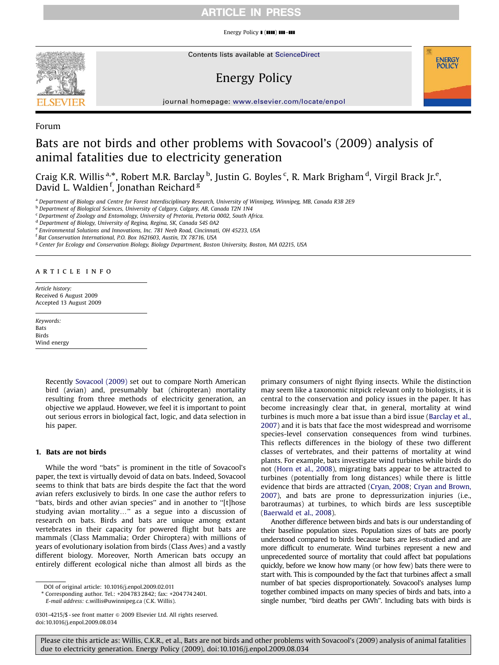## ARTICLE IN PRESS

Energy Policy  $\blacksquare$  ( $\blacksquare\blacksquare$ )  $\blacksquare\blacksquare\blacksquare\blacksquare$ 



Contents lists available at ScienceDirect

# Energy Policy



journal homepage: <www.elsevier.com/locate/enpol>

### Forum

# Bats are not birds and other problems with Sovacool's (2009) analysis of animal fatalities due to electricity generation

Craig K.R. Willis <sup>a,</sup>\*, Robert M.R. Barclay <sup>b</sup>, Justin G. Boyles <sup>c</sup>, R. Mark Brigham <sup>d</sup>, Virgil Brack Jr.<sup>e</sup>, David L. Waldien <sup>f</sup>, Jonathan Reichard <sup>g</sup>

<sup>a</sup> Department of Biology and Centre for Forest Interdisciplinary Research, University of Winnipeg, Winnipeg, MB, Canada R3B 2E9

b Department of Biological Sciences, University of Calgary, Calgary, AB, Canada T2N 1N4

<sup>c</sup> Department of Zoology and Entomology, University of Pretoria, Pretoria 0002, South Africa.

<sup>d</sup> Department of Biology, University of Regina, Regina, SK, Canada S4S 0A2

<sup>e</sup> Environmental Solutions and Innovations, Inc. 781 Neeb Road, Cincinnati, OH 45233, USA

<sup>f</sup> Bat Conservation International, P.O. Box 1621603, Austin, TX 78716, USA

<sup>g</sup> Center for Ecology and Conservation Biology, Biology Department, Boston University, Boston, MA 02215, USA

#### article info

Article history: Received 6 August 2009 Accepted 13 August 2009

Keywords: Bats Birds Wind energy

> Recently [Sovacool \(2009\)](#page-2-0) set out to compare North American bird (avian) and, presumably bat (chiropteran) mortality resulting from three methods of electricity generation, an objective we applaud. However, we feel it is important to point out serious errors in biological fact, logic, and data selection in his paper.

#### 1. Bats are not birds

While the word ''bats'' is prominent in the title of Sovacool's paper, the text is virtually devoid of data on bats. Indeed, Sovacool seems to think that bats are birds despite the fact that the word avian refers exclusively to birds. In one case the author refers to "bats, birds and other avian species" and in another to "[t]hose studying avian mortality..." as a segue into a discussion of research on bats. Birds and bats are unique among extant vertebrates in their capacity for powered flight but bats are mammals (Class Mammalia; Order Chiroptera) with millions of years of evolutionary isolation from birds (Class Aves) and a vastly different biology. Moreover, North American bats occupy an entirely different ecological niche than almost all birds as the

DOI of original article: [10.1016/j.enpol.2009.02.011](dx.doi.org/10.1016/j.enpol.2009.02.011)

- Corresponding author. Tel.: +204 783 2842; fax: +204 774 2401. E-mail address: [c.willis@uwinnipeg.ca \(C.K. Willis\)](mailto:c.willis@uwinnipeg.ca).

primary consumers of night flying insects. While the distinction may seem like a taxonomic nitpick relevant only to biologists, it is central to the conservation and policy issues in the paper. It has become increasingly clear that, in general, mortality at wind turbines is much more a bat issue than a bird issue [\(Barclay et al.,](#page-2-0) [2007\)](#page-2-0) and it is bats that face the most widespread and worrisome species-level conservation consequences from wind turbines. This reflects differences in the biology of these two different classes of vertebrates, and their patterns of mortality at wind plants. For example, bats investigate wind turbines while birds do not ([Horn et al., 2008\)](#page-2-0), migrating bats appear to be attracted to turbines (potentially from long distances) while there is little evidence that birds are attracted ([Cryan, 2008;](#page-2-0) [Cryan and Brown,](#page-2-0) [2007\)](#page-2-0), and bats are prone to depressurization injuries (i.e., barotraumas) at turbines, to which birds are less susceptible ([Baerwald et al., 2008\)](#page-2-0).

Another difference between birds and bats is our understanding of their baseline population sizes. Population sizes of bats are poorly understood compared to birds because bats are less-studied and are more difficult to enumerate. Wind turbines represent a new and unprecedented source of mortality that could affect bat populations quickly, before we know how many (or how few) bats there were to start with. This is compounded by the fact that turbines affect a small number of bat species disproportionately. Sovacool's analyses lump together combined impacts on many species of birds and bats, into a single number, ''bird deaths per GWh''. Including bats with birds is

Please cite this article as: Willis, C.K.R., et al., Bats are not birds and other problems with Sovacool's (2009) analysis of animal fatalities due to electricity generation. Energy Policy (2009), doi[:10.1016/j.enpol.2009.08.034](dx.doi.org/10.1016/j.enpol.2009.08.034)

<sup>0301-4215/\$ -</sup> see front matter @ 2009 Elsevier Ltd. All rights reserved. doi:[10.1016/j.enpol.2009.08.034](dx.doi.org/10.1016/j.enpol.2009.08.034)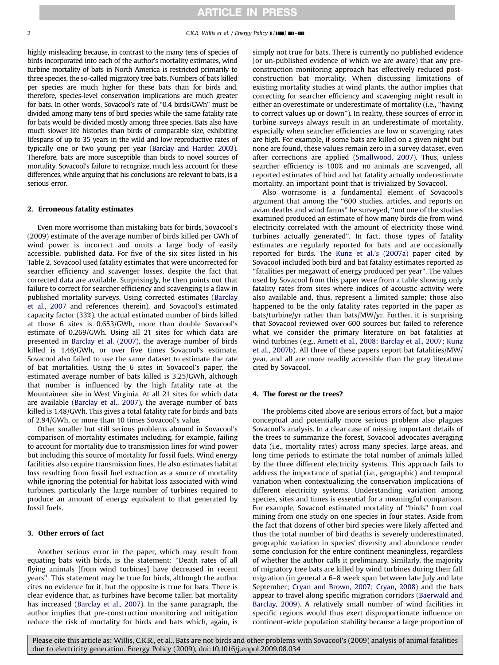highly misleading because, in contrast to the many tens of species of birds incorporated into each of the author's mortality estimates, wind turbine mortality of bats in North America is restricted primarily to three species, the so-called migratory tree bats. Numbers of bats killed per species are much higher for these bats than for birds and, therefore, species-level conservation implications are much greater for bats. In other words, Sovacool's rate of ''0.4 birds/GWh'' must be divided among many tens of bird species while the same fatality rate for bats would be divided mostly among three species. Bats also have much slower life histories than birds of comparable size, exhibiting lifespans of up to 35 years in the wild and low reproductive rates of typically one or two young per year ([Barclay and Harder, 2003\)](#page-2-0). Therefore, bats are more susceptible than birds to novel sources of mortality. Sovacool's failure to recognize, much less account for these differences, while arguing that his conclusions are relevant to bats, is a serious error.

#### 2. Erroneous fatality estimates

Even more worrisome than mistaking bats for birds, Sovacool's (2009) estimate of the average number of birds killed per GWh of wind power is incorrect and omits a large body of easily accessible, published data. For five of the six sites listed in his Table 2, Sovacool used fatality estimates that were uncorrected for searcher efficiency and scavenger losses, despite the fact that corrected data are available. Surprisingly, he then points out that failure to correct for searcher efficiency and scavenging is a flaw in published mortality surveys. Using corrected estimates ([Barclay](#page-2-0) [et al., 2007](#page-2-0) and references therein), and Sovacool's estimated capacity factor (33%), the actual estimated number of birds killed at those 6 sites is 0.653/GWh, more than double Sovacool's estimate of 0.269/GWh. Using all 21 sites for which data are presented in [Barclay et al. \(2007\)](#page-2-0), the average number of birds killed is 1.46/GWh, or over five times Sovacool's estimate. Sovacool also failed to use the same dataset to estimate the rate of bat mortalities. Using the 6 sites in Sovacool's paper, the estimated average number of bats killed is 3.25/GWh, although that number is influenced by the high fatality rate at the Mountaineer site in West Virginia. At all 21 sites for which data are available ([Barclay et al., 2007](#page-2-0)), the average number of bats killed is 1.48/GWh. This gives a total fatality rate for birds and bats of 2.94/GWh, or more than 10 times Sovacool's value.

Other smaller but still serious problems abound in Sovacool's comparison of mortality estimates including, for example, failing to account for mortality due to transmission lines for wind power but including this source of mortality for fossil fuels. Wind energy facilities also require transmission lines. He also estimates habitat loss resulting from fossil fuel extraction as a source of mortality while ignoring the potential for habitat loss associated with wind turbines, particularly the large number of turbines required to produce an amount of energy equivalent to that generated by fossil fuels.

### 3. Other errors of fact

Another serious error in the paper, which may result from equating bats with birds, is the statement: ''Death rates of all flying animals [from wind turbines] have decreased in recent years''. This statement may be true for birds, although the author cites no evidence for it, but the opposite is true for bats. There is clear evidence that, as turbines have become taller, bat mortality has increased [\(Barclay et al., 2007\)](#page-2-0). In the same paragraph, the author implies that pre-construction monitoring and mitigation reduce the risk of mortality for birds and bats which, again, is simply not true for bats. There is currently no published evidence (or un-published evidence of which we are aware) that any preconstruction monitoring approach has effectively reduced postconstruction bat mortality. When discussing limitations of existing mortality studies at wind plants, the author implies that correcting for searcher efficiency and scavenging might result in either an overestimate or underestimate of mortality (i.e., ''having to correct values up or down''). In reality, these sources of error in turbine surveys always result in an underestimate of mortality, especially when searcher efficiencies are low or scavenging rates are high. For example, if some bats are killed on a given night but none are found, these values remain zero in a survey dataset, even after corrections are applied ([Smallwood, 2007](#page-2-0)). Thus, unless searcher efficiency is 100% and no animals are scavenged, all reported estimates of bird and bat fatality actually underestimate mortality, an important point that is trivialized by Sovacool.

Also worrisome is a fundamental element of Sovacool's argument that among the ''600 studies, articles, and reports on avian deaths and wind farms'' he surveyed, ''not one of the studies examined produced an estimate of how many birds die from wind electricity correlated with the amount of electricity those wind turbines actually generated''. In fact, those types of fatality estimates are regularly reported for bats and are occasionally reported for birds. The [Kunz et al.'s \(2007a\)](#page-2-0) paper cited by Sovacool included both bird and bat fatality estimates reported as ''fatalities per megawatt of energy produced per year''. The values used by Sovacool from this paper were from a table showing only fatality rates from sites where indices of acoustic activity were also available and, thus, represent a limited sample; those also happened to be the only fatality rates reported in the paper as bats/turbine/yr rather than bats/MW/yr. Further, it is surprising that Sovacool reviewed over 600 sources but failed to reference what we consider the primary literature on bat fatalities at wind turbines (e.g., [Arnett et al., 2008;](#page-2-0) [Barclay et al., 2007;](#page-2-0) [Kunz](#page-2-0) [et al., 2007b\)](#page-2-0). All three of these papers report bat fatalities/MW/ year, and all are more readily accessible than the gray literature cited by Sovacool.

#### 4. The forest or the trees?

The problems cited above are serious errors of fact, but a major conceptual and potentially more serious problem also plagues Sovacool's analysis. In a clear case of missing important details of the trees to summarize the forest, Sovacool advocates averaging data (i.e., mortality rates) across many species, large areas, and long time periods to estimate the total number of animals killed by the three different electricity systems. This approach fails to address the importance of spatial (i.e., geographic) and temporal variation when contextualizing the conservation implications of different electricity systems. Understanding variation among species, sites and times is essential for a meaningful comparison. For example, Sovacool estimated mortality of ''birds'' from coal mining from one study on one species in four states. Aside from the fact that dozens of other bird species were likely affected and thus the total number of bird deaths is severely underestimated, geographic variation in species' diversity and abundance render some conclusion for the entire continent meaningless, regardless of whether the author calls it preliminary. Similarly, the majority of migratory tree bats are killed by wind turbines during their fall migration (in general a 6–8 week span between late July and late September; [Cryan and Brown, 2007;](#page-2-0) [Cryan, 2008](#page-2-0)) and the bats appear to travel along specific migration corridors [\(Baerwald and](#page-2-0) [Barclay, 2009\)](#page-2-0). A relatively small number of wind facilities in specific regions would thus exert disproportionate influence on continent-wide population stability because a large proportion of

Please cite this article as: Willis, C.K.R., et al., Bats are not birds and other problems with Sovacool's (2009) analysis of animal fatalities due to electricity generation. Energy Policy (2009), doi[:10.1016/j.enpol.2009.08.034](dx.doi.org/10.1016/j.enpol.2009.08.034)